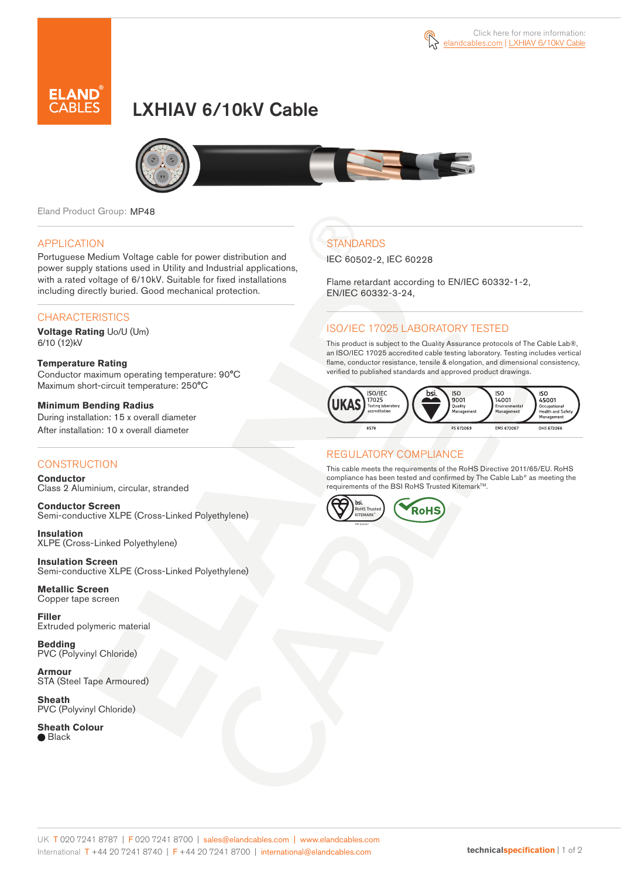

# LXHIAV 6/10kV Cable



Eland Product Group: MP48

#### APPLICATION

Portuguese Medium Voltage cable for power distribution and power supply stations used in Utility and Industrial applications, with a rated voltage of 6/10kV. Suitable for fixed installations including directly buried. Good mechanical protection.

### **CHARACTERISTICS**

**Voltage Rating** Uo/U (Um) 6/10 (12)kV

#### **Temperature Rating**  Conductor maximum operating temperature: 90°C Maximum short-circuit temperature: 250°C

**Minimum Bending Radius**  During installation: 15 x overall diameter After installation: 10 x overall diameter

### **CONSTRUCTION**

**Conductor**  Class 2 Aluminium, circular, stranded

**Conductor Screen** Semi-conductive XLPE (Cross-Linked Polyethylene)

**Insulation** XLPE (Cross-Linked Polyethylene)

**Insulation Screen** Semi-conductive XLPE (Cross-Linked Polyethylene)

**Metallic Screen**  Copper tape screen

**Filler** Extruded polymeric material

**Bedding** PVC (Polyvinyl Chloride)

**Armour** STA (Steel Tape Armoured)

**Sheath** PVC (Polyvinyl Chloride)

**Sheath Colour**

● Black

## **STANDARDS**

IEC 60502-2, IEC 60228

Flame retardant according to EN/IEC 60332-1-2, EN/IEC 60332-3-24,

## ISO/IEC 17025 LABORATORY TESTED

This product is subject to the Quality Assurance protocols of The Cable Lab®, an ISO/IEC 17025 accredited cable testing laboratory. Testing includes vertical flame, conductor resistance, tensile & elongation, and dimensional consistency, verified to published standards and approved product drawings.



### REGULATORY COMPLIANCE

This cable meets the requirements of the RoHS Directive 2011/65/EU. RoHS compliance has been tested and confirmed by The Cable Lab® as meeting the requirements of the BSI RoHS Trusted Kitemark™.